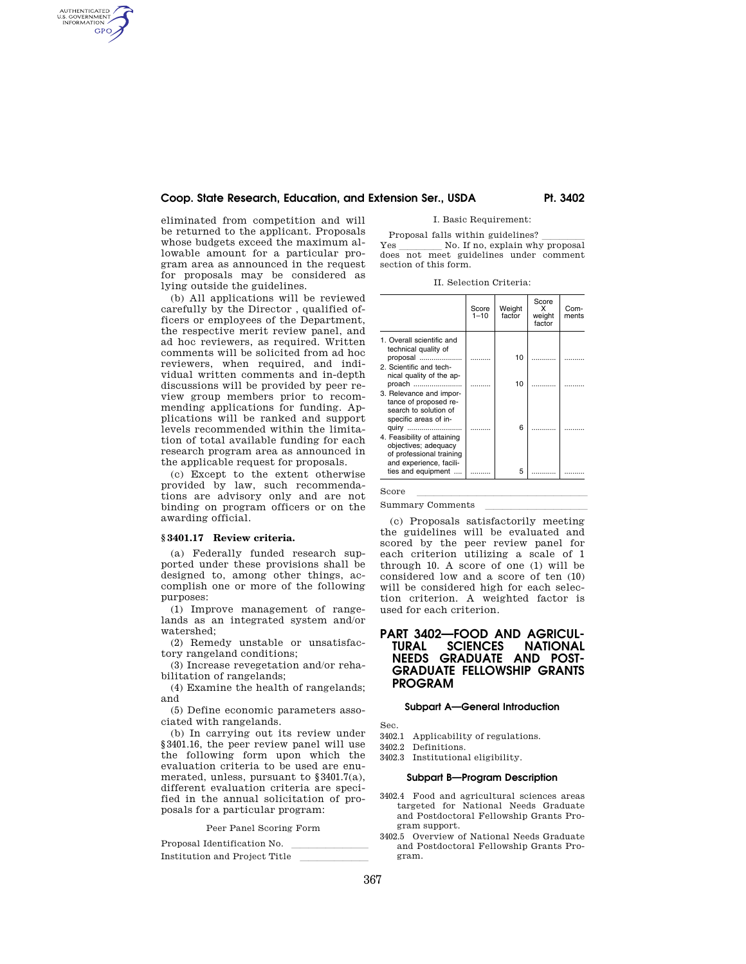eliminated from competition and will be returned to the applicant. Proposals whose budgets exceed the maximum allowable amount for a particular program area as announced in the request for proposals may be considered as lying outside the guidelines.

AUTHENTICATED<br>U.S. GOVERNMENT<br>INFORMATION **GPO** 

> (b) All applications will be reviewed carefully by the Director , qualified officers or employees of the Department, the respective merit review panel, and ad hoc reviewers, as required. Written comments will be solicited from ad hoc reviewers, when required, and individual written comments and in-depth discussions will be provided by peer review group members prior to recommending applications for funding. Applications will be ranked and support levels recommended within the limitation of total available funding for each research program area as announced in the applicable request for proposals.

> (c) Except to the extent otherwise provided by law, such recommendations are advisory only and are not binding on program officers or on the awarding official.

# **§ 3401.17 Review criteria.**

(a) Federally funded research supported under these provisions shall be designed to, among other things, accomplish one or more of the following purposes:

(1) Improve management of rangelands as an integrated system and/or watershed;

(2) Remedy unstable or unsatisfactory rangeland conditions;

(3) Increase revegetation and/or rehabilitation of rangelands;

(4) Examine the health of rangelands; and

(5) Define economic parameters associated with rangelands.

(b) In carrying out its review under §3401.16, the peer review panel will use the following form upon which the evaluation criteria to be used are enumerated, unless, pursuant to §3401.7(a), different evaluation criteria are specified in the annual solicitation of proposals for a particular program:

Peer Panel Scoring Form

Proposal Identification No.<br>Letterally line limits in the second line limits of the second line limits of the second line of the second li Institution and Project Title I. Basic Requirement:

Proposal falls within guidelines? lllll Yes \_\_\_\_\_\_\_\_\_\_\_\_ No. If no, explain why proposal does not meet guidelines under comment section of this form.

II. Selection Criteria:

|                                                                                                             | Score<br>$1 - 10$ | Weight<br>factor | Score<br>x<br>weight<br>factor | Com-<br>ments |
|-------------------------------------------------------------------------------------------------------------|-------------------|------------------|--------------------------------|---------------|
| 1. Overall scientific and<br>technical quality of<br>proposal                                               |                   | 10               |                                |               |
| 2. Scientific and tech-<br>nical quality of the ap-<br>proach                                               |                   | 10               |                                |               |
| 3. Relevance and impor-<br>tance of proposed re-<br>search to solution of<br>specific areas of in-<br>quiry |                   | 6                |                                |               |
| 4. Feasibility of attaining<br>objectives; adequacy<br>of professional training<br>and experience, facili-  |                   |                  |                                |               |
| ties and equipment                                                                                          |                   | 5                |                                |               |

 $Score$   $\overline{a}$   $\overline{a}$   $\overline{a}$   $\overline{a}$   $\overline{a}$   $\overline{a}$   $\overline{a}$   $\overline{a}$   $\overline{a}$   $\overline{a}$   $\overline{a}$   $\overline{a}$   $\overline{a}$   $\overline{a}$   $\overline{a}$   $\overline{a}$   $\overline{a}$   $\overline{a}$   $\overline{a}$   $\overline{a}$   $\overline{a}$   $\overline{a}$   $\overline{a}$   $\overline{a}$ 

Summary Comments

(c) Proposals satisfactorily meeting the guidelines will be evaluated and scored by the peer review panel for each criterion utilizing a scale of 1 through 10. A score of one (1) will be considered low and a score of ten (10) will be considered high for each selection criterion. A weighted factor is used for each criterion.

# **PART 3402—FOOD AND AGRICUL-NATIONAL NEEDS GRADUATE AND POST-GRADUATE FELLOWSHIP GRANTS PROGRAM**

## **Subpart A—General Introduction**

Sec.

3402.1 Applicability of regulations.

3402.2 Definitions.

3402.3 Institutional eligibility.

#### **Subpart B—Program Description**

- 3402.4 Food and agricultural sciences areas targeted for National Needs Graduate and Postdoctoral Fellowship Grants Program support.
- 3402.5 Overview of National Needs Graduate and Postdoctoral Fellowship Grants Program.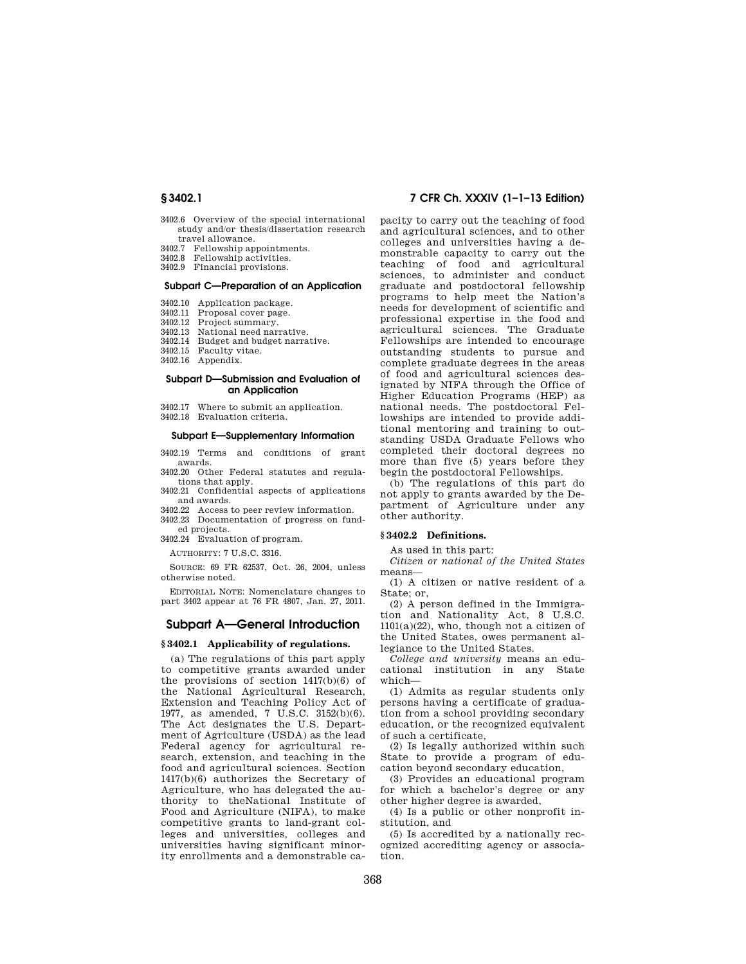- 3402.6 Overview of the special international study and/or thesis/dissertation research travel allowance.
- 3402.7 Fellowship appointments.
- 3402.8 Fellowship activities.
- 3402.9 Financial provisions.

## **Subpart C—Preparation of an Application**

- 3402.10 Application package.<br>3402.11 Proposal cover page
- Proposal cover page.
- 3402.12 Project summary.<br>3402.13 National need nary
- National need narrative.
- 3402.14 Budget and budget narrative.
- 3402.15 Faculty vitae.
- 3402.16 Appendix.

### **Subpart D—Submission and Evaluation of an Application**

3402.17 Where to submit an application.

3402.18 Evaluation criteria.

#### **Subpart E—Supplementary Information**

3402.19 Terms and conditions of grant awards.

3402.20 Other Federal statutes and regulations that apply.

3402.21 Confidential aspects of applications and awards.

3402.22 Access to peer review information.

3402.23 Documentation of progress on funded projects.

3402.24 Evaluation of program.

AUTHORITY: 7 U.S.C. 3316.

SOURCE: 69 FR 62537, Oct. 26, 2004, unless otherwise noted.

EDITORIAL NOTE: Nomenclature changes to part 3402 appear at 76 FR 4807, Jan. 27, 2011.

# **Subpart A—General Introduction**

#### **§ 3402.1 Applicability of regulations.**

(a) The regulations of this part apply to competitive grants awarded under the provisions of section 1417(b)(6) of the National Agricultural Research, Extension and Teaching Policy Act of 1977, as amended, 7 U.S.C. 3152(b)(6). The Act designates the U.S. Department of Agriculture (USDA) as the lead Federal agency for agricultural research, extension, and teaching in the food and agricultural sciences. Section 1417(b)(6) authorizes the Secretary of Agriculture, who has delegated the authority to theNational Institute of Food and Agriculture (NIFA), to make competitive grants to land-grant colleges and universities, colleges and universities having significant minority enrollments and a demonstrable ca-

# **§ 3402.1 7 CFR Ch. XXXIV (1–1–13 Edition)**

pacity to carry out the teaching of food and agricultural sciences, and to other colleges and universities having a demonstrable capacity to carry out the teaching of food and agricultural sciences, to administer and conduct graduate and postdoctoral fellowship programs to help meet the Nation's needs for development of scientific and professional expertise in the food and agricultural sciences. The Graduate Fellowships are intended to encourage outstanding students to pursue and complete graduate degrees in the areas of food and agricultural sciences designated by NIFA through the Office of Higher Education Programs (HEP) as national needs. The postdoctoral Fellowships are intended to provide additional mentoring and training to outstanding USDA Graduate Fellows who completed their doctoral degrees no more than five (5) years before they begin the postdoctoral Fellowships.

(b) The regulations of this part do not apply to grants awarded by the Department of Agriculture under any other authority.

# **§ 3402.2 Definitions.**

As used in this part:

*Citizen or national of the United States*  means—

(1) A citizen or native resident of a State; or,

(2) A person defined in the Immigration and Nationality Act, 8 U.S.C.  $1101(a)(22)$ , who, though not a citizen of the United States, owes permanent allegiance to the United States.

*College and university* means an educational institution in any State which—

(1) Admits as regular students only persons having a certificate of graduation from a school providing secondary education, or the recognized equivalent of such a certificate,

(2) Is legally authorized within such State to provide a program of education beyond secondary education,

(3) Provides an educational program for which a bachelor's degree or any other higher degree is awarded,

(4) Is a public or other nonprofit institution, and

(5) Is accredited by a nationally recognized accrediting agency or association.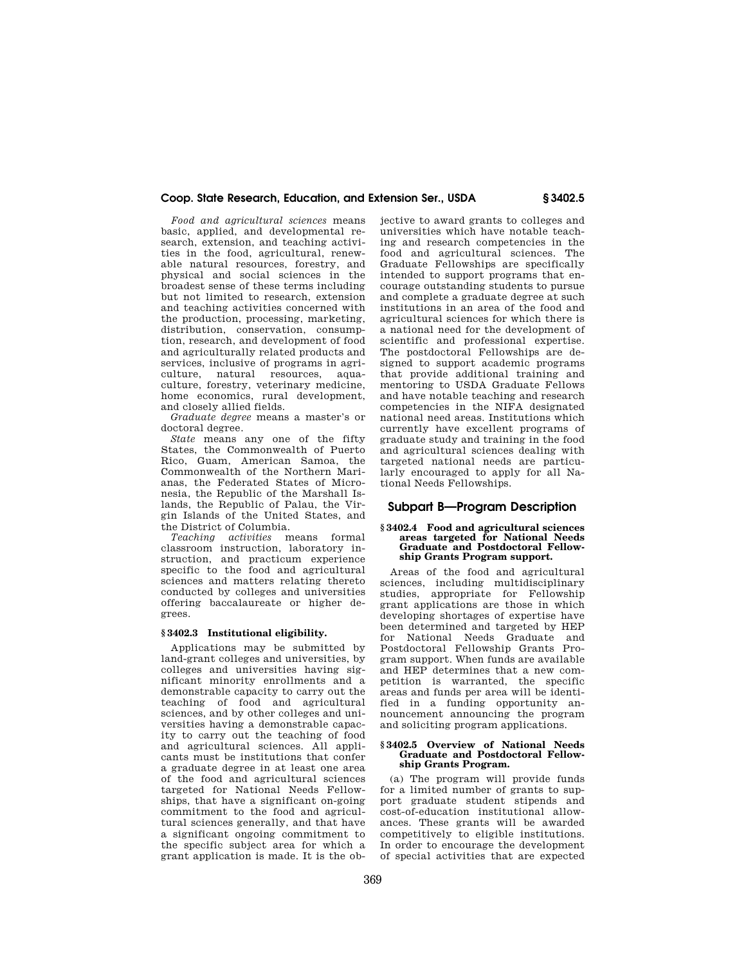*Food and agricultural sciences* means basic, applied, and developmental research, extension, and teaching activities in the food, agricultural, renewable natural resources, forestry, and physical and social sciences in the broadest sense of these terms including but not limited to research, extension and teaching activities concerned with the production, processing, marketing, distribution, conservation, consumption, research, and development of food and agriculturally related products and services, inclusive of programs in agriculture, natural resources, aquaculture, forestry, veterinary medicine, home economics, rural development, and closely allied fields.

*Graduate degree* means a master's or doctoral degree.

*State* means any one of the fifty States, the Commonwealth of Puerto Rico, Guam, American Samoa, the Commonwealth of the Northern Marianas, the Federated States of Micronesia, the Republic of the Marshall Islands, the Republic of Palau, the Virgin Islands of the United States, and the District of Columbia.

*Teaching activities* means formal classroom instruction, laboratory instruction, and practicum experience specific to the food and agricultural sciences and matters relating thereto conducted by colleges and universities offering baccalaureate or higher degrees.

# **§ 3402.3 Institutional eligibility.**

Applications may be submitted by land-grant colleges and universities, by colleges and universities having significant minority enrollments and a demonstrable capacity to carry out the teaching of food and agricultural sciences, and by other colleges and universities having a demonstrable capacity to carry out the teaching of food and agricultural sciences. All applicants must be institutions that confer a graduate degree in at least one area of the food and agricultural sciences targeted for National Needs Fellowships, that have a significant on-going commitment to the food and agricultural sciences generally, and that have a significant ongoing commitment to the specific subject area for which a grant application is made. It is the objective to award grants to colleges and universities which have notable teaching and research competencies in the food and agricultural sciences. The Graduate Fellowships are specifically intended to support programs that encourage outstanding students to pursue and complete a graduate degree at such institutions in an area of the food and agricultural sciences for which there is a national need for the development of scientific and professional expertise. The postdoctoral Fellowships are designed to support academic programs that provide additional training and mentoring to USDA Graduate Fellows and have notable teaching and research competencies in the NIFA designated national need areas. Institutions which currently have excellent programs of graduate study and training in the food and agricultural sciences dealing with targeted national needs are particularly encouraged to apply for all National Needs Fellowships.

# **Subpart B—Program Description**

### **§ 3402.4 Food and agricultural sciences areas targeted for National Needs Graduate and Postdoctoral Fellowship Grants Program support.**

Areas of the food and agricultural sciences, including multidisciplinary studies, appropriate for Fellowship grant applications are those in which developing shortages of expertise have been determined and targeted by HEP for National Needs Graduate and Postdoctoral Fellowship Grants Program support. When funds are available and HEP determines that a new competition is warranted, the specific areas and funds per area will be identified in a funding opportunity announcement announcing the program and soliciting program applications.

#### **§ 3402.5 Overview of National Needs Graduate and Postdoctoral Fellowship Grants Program.**

(a) The program will provide funds for a limited number of grants to support graduate student stipends and cost-of-education institutional allowances. These grants will be awarded competitively to eligible institutions. In order to encourage the development of special activities that are expected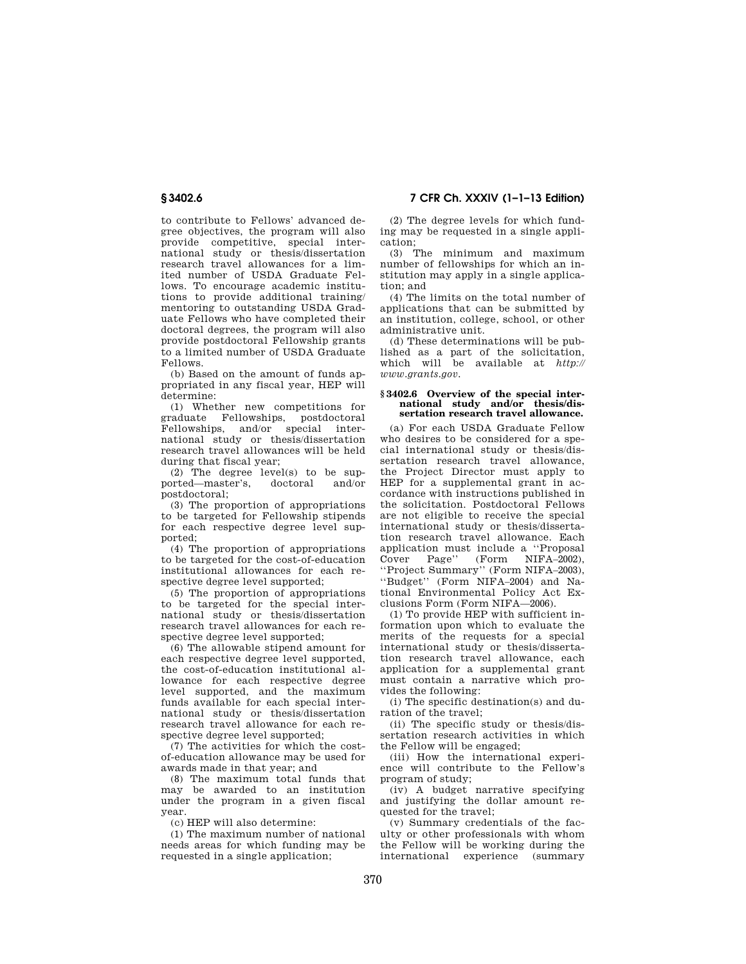to contribute to Fellows' advanced degree objectives, the program will also provide competitive, special international study or thesis/dissertation research travel allowances for a limited number of USDA Graduate Fellows. To encourage academic institutions to provide additional training/ mentoring to outstanding USDA Graduate Fellows who have completed their doctoral degrees, the program will also provide postdoctoral Fellowship grants to a limited number of USDA Graduate Fellows.

(b) Based on the amount of funds appropriated in any fiscal year, HEP will determine:

(1) Whether new competitions for graduate Fellowships, postdoctoral Fellowships, and/or special international study or thesis/dissertation research travel allowances will be held during that fiscal year;

(2) The degree level(s) to be sup-<br>orted—master's doctoral and/or ported—master's, postdoctoral;

(3) The proportion of appropriations to be targeted for Fellowship stipends for each respective degree level supported;

(4) The proportion of appropriations to be targeted for the cost-of-education institutional allowances for each respective degree level supported;

(5) The proportion of appropriations to be targeted for the special international study or thesis/dissertation research travel allowances for each respective degree level supported;

(6) The allowable stipend amount for each respective degree level supported, the cost-of-education institutional allowance for each respective degree level supported, and the maximum funds available for each special international study or thesis/dissertation research travel allowance for each respective degree level supported;

(7) The activities for which the costof-education allowance may be used for awards made in that year; and

(8) The maximum total funds that may be awarded to an institution under the program in a given fiscal year.

(c) HEP will also determine:

(1) The maximum number of national needs areas for which funding may be requested in a single application;

(2) The degree levels for which funding may be requested in a single application;

(3) The minimum and maximum number of fellowships for which an institution may apply in a single application; and

(4) The limits on the total number of applications that can be submitted by an institution, college, school, or other administrative unit.

(d) These determinations will be published as a part of the solicitation, which will be available at *http:// www.grants.gov.* 

### **§ 3402.6 Overview of the special international study and/or thesis/dissertation research travel allowance.**

(a) For each USDA Graduate Fellow who desires to be considered for a special international study or thesis/dissertation research travel allowance, the Project Director must apply to HEP for a supplemental grant in accordance with instructions published in the solicitation. Postdoctoral Fellows are not eligible to receive the special international study or thesis/dissertation research travel allowance. Each application must include a ''Proposal Cover Page'' (Form NIFA–2002), ''Project Summary'' (Form NIFA–2003), ''Budget'' (Form NIFA–2004) and National Environmental Policy Act Exclusions Form (Form NIFA—2006).

(1) To provide HEP with sufficient information upon which to evaluate the merits of the requests for a special international study or thesis/dissertation research travel allowance, each application for a supplemental grant must contain a narrative which provides the following:

(i) The specific destination(s) and duration of the travel;

(ii) The specific study or thesis/dissertation research activities in which the Fellow will be engaged;

(iii) How the international experience will contribute to the Fellow's program of study;

(iv) A budget narrative specifying and justifying the dollar amount requested for the travel;

(v) Summary credentials of the faculty or other professionals with whom the Fellow will be working during the international experience (summary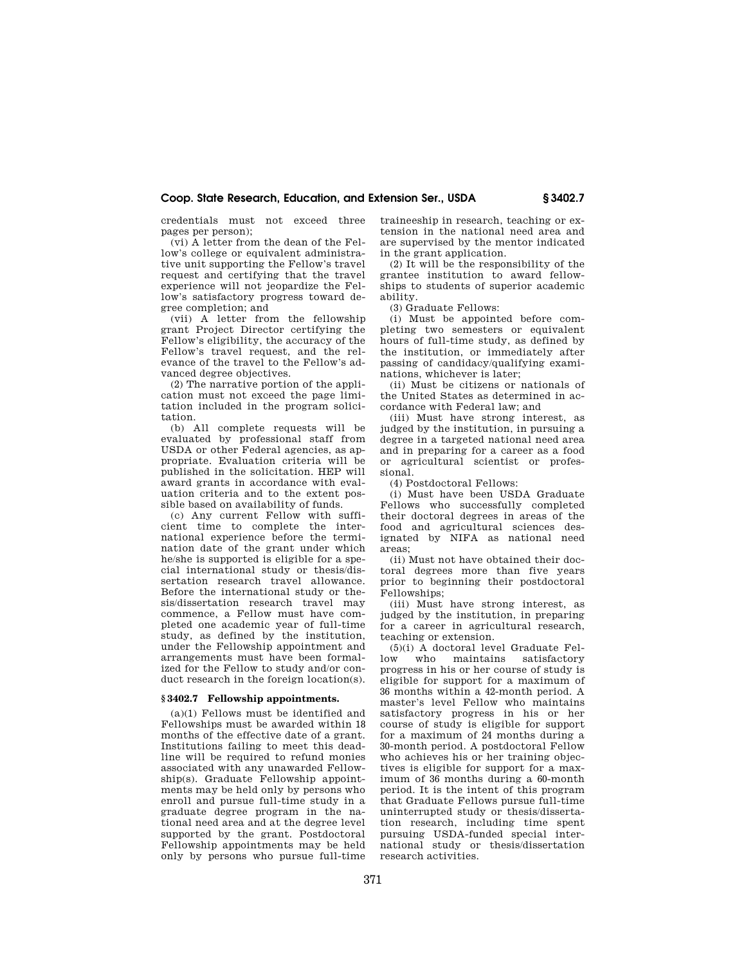credentials must not exceed three pages per person);

(vi) A letter from the dean of the Fellow's college or equivalent administrative unit supporting the Fellow's travel request and certifying that the travel experience will not jeopardize the Fellow's satisfactory progress toward degree completion; and

(vii) A letter from the fellowship grant Project Director certifying the Fellow's eligibility, the accuracy of the Fellow's travel request, and the relevance of the travel to the Fellow's advanced degree objectives.

(2) The narrative portion of the application must not exceed the page limitation included in the program solicitation.

(b) All complete requests will be evaluated by professional staff from USDA or other Federal agencies, as appropriate. Evaluation criteria will be published in the solicitation. HEP will award grants in accordance with evaluation criteria and to the extent possible based on availability of funds.

(c) Any current Fellow with sufficient time to complete the international experience before the termination date of the grant under which he/she is supported is eligible for a special international study or thesis/dissertation research travel allowance. Before the international study or thesis/dissertation research travel may commence, a Fellow must have completed one academic year of full-time study, as defined by the institution, under the Fellowship appointment and arrangements must have been formalized for the Fellow to study and/or conduct research in the foreign location(s).

#### **§ 3402.7 Fellowship appointments.**

(a)(1) Fellows must be identified and Fellowships must be awarded within 18 months of the effective date of a grant. Institutions failing to meet this deadline will be required to refund monies associated with any unawarded Fellowship(s). Graduate Fellowship appointments may be held only by persons who enroll and pursue full-time study in a graduate degree program in the national need area and at the degree level supported by the grant. Postdoctoral Fellowship appointments may be held only by persons who pursue full-time

traineeship in research, teaching or extension in the national need area and are supervised by the mentor indicated in the grant application.

(2) It will be the responsibility of the grantee institution to award fellowships to students of superior academic ability.

(3) Graduate Fellows:

(i) Must be appointed before completing two semesters or equivalent hours of full-time study, as defined by the institution, or immediately after passing of candidacy/qualifying examinations, whichever is later;

(ii) Must be citizens or nationals of the United States as determined in accordance with Federal law; and

(iii) Must have strong interest, as judged by the institution, in pursuing a degree in a targeted national need area and in preparing for a career as a food or agricultural scientist or professional.

(4) Postdoctoral Fellows:

(i) Must have been USDA Graduate Fellows who successfully completed their doctoral degrees in areas of the food and agricultural sciences designated by NIFA as national need areas;

(ii) Must not have obtained their doctoral degrees more than five years prior to beginning their postdoctoral Fellowships;

(iii) Must have strong interest, as judged by the institution, in preparing for a career in agricultural research, teaching or extension.

(5)(i) A doctoral level Graduate Fellow who maintains satisfactory progress in his or her course of study is eligible for support for a maximum of 36 months within a 42-month period. A master's level Fellow who maintains satisfactory progress in his or her course of study is eligible for support for a maximum of 24 months during a 30-month period. A postdoctoral Fellow who achieves his or her training objectives is eligible for support for a maximum of 36 months during a 60-month period. It is the intent of this program that Graduate Fellows pursue full-time uninterrupted study or thesis/dissertation research, including time spent pursuing USDA-funded special international study or thesis/dissertation research activities.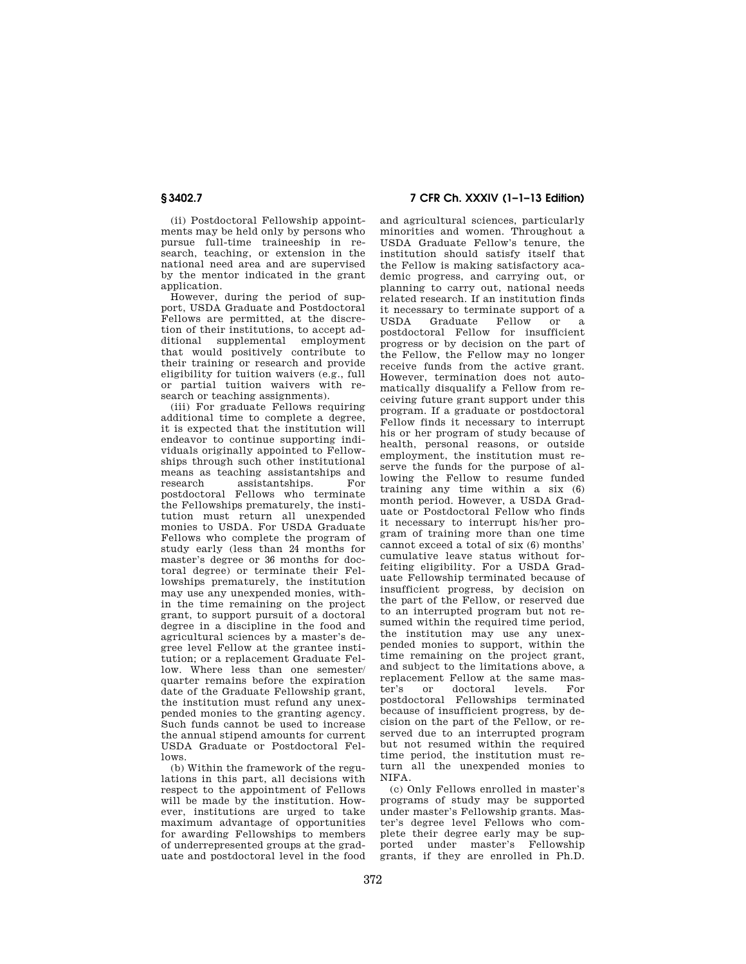(ii) Postdoctoral Fellowship appointments may be held only by persons who pursue full-time traineeship in research, teaching, or extension in the national need area and are supervised by the mentor indicated in the grant application.

However, during the period of support, USDA Graduate and Postdoctoral Fellows are permitted, at the discretion of their institutions, to accept additional supplemental employment that would positively contribute to their training or research and provide eligibility for tuition waivers (e.g., full or partial tuition waivers with research or teaching assignments).

(iii) For graduate Fellows requiring additional time to complete a degree, it is expected that the institution will endeavor to continue supporting individuals originally appointed to Fellowships through such other institutional means as teaching assistantships and<br>research assistantships For assistantships. For postdoctoral Fellows who terminate the Fellowships prematurely, the institution must return all unexpended monies to USDA. For USDA Graduate Fellows who complete the program of study early (less than 24 months for master's degree or 36 months for doctoral degree) or terminate their Fellowships prematurely, the institution may use any unexpended monies, within the time remaining on the project grant, to support pursuit of a doctoral degree in a discipline in the food and agricultural sciences by a master's degree level Fellow at the grantee institution; or a replacement Graduate Fellow. Where less than one semester/ quarter remains before the expiration date of the Graduate Fellowship grant, the institution must refund any unexpended monies to the granting agency. Such funds cannot be used to increase the annual stipend amounts for current USDA Graduate or Postdoctoral Fellows.

(b) Within the framework of the regulations in this part, all decisions with respect to the appointment of Fellows will be made by the institution. However, institutions are urged to take maximum advantage of opportunities for awarding Fellowships to members of underrepresented groups at the graduate and postdoctoral level in the food

# **§ 3402.7 7 CFR Ch. XXXIV (1–1–13 Edition)**

and agricultural sciences, particularly minorities and women. Throughout a USDA Graduate Fellow's tenure, the institution should satisfy itself that the Fellow is making satisfactory academic progress, and carrying out, or planning to carry out, national needs related research. If an institution finds it necessary to terminate support of a USDA Graduate Fellow or a postdoctoral Fellow for insufficient progress or by decision on the part of the Fellow, the Fellow may no longer receive funds from the active grant. However, termination does not automatically disqualify a Fellow from receiving future grant support under this program. If a graduate or postdoctoral Fellow finds it necessary to interrupt his or her program of study because of health, personal reasons, or outside employment, the institution must reserve the funds for the purpose of allowing the Fellow to resume funded training any time within a six (6) month period. However, a USDA Graduate or Postdoctoral Fellow who finds it necessary to interrupt his/her program of training more than one time cannot exceed a total of six (6) months' cumulative leave status without forfeiting eligibility. For a USDA Graduate Fellowship terminated because of insufficient progress, by decision on the part of the Fellow, or reserved due to an interrupted program but not resumed within the required time period, the institution may use any unexpended monies to support, within the time remaining on the project grant, and subject to the limitations above, a replacement Fellow at the same mas-<br>ter's or doctoral levels. For doctoral postdoctoral Fellowships terminated because of insufficient progress, by decision on the part of the Fellow, or reserved due to an interrupted program but not resumed within the required time period, the institution must return all the unexpended monies to NIFA.

(c) Only Fellows enrolled in master's programs of study may be supported under master's Fellowship grants. Master's degree level Fellows who complete their degree early may be supported under master's Fellowship grants, if they are enrolled in Ph.D.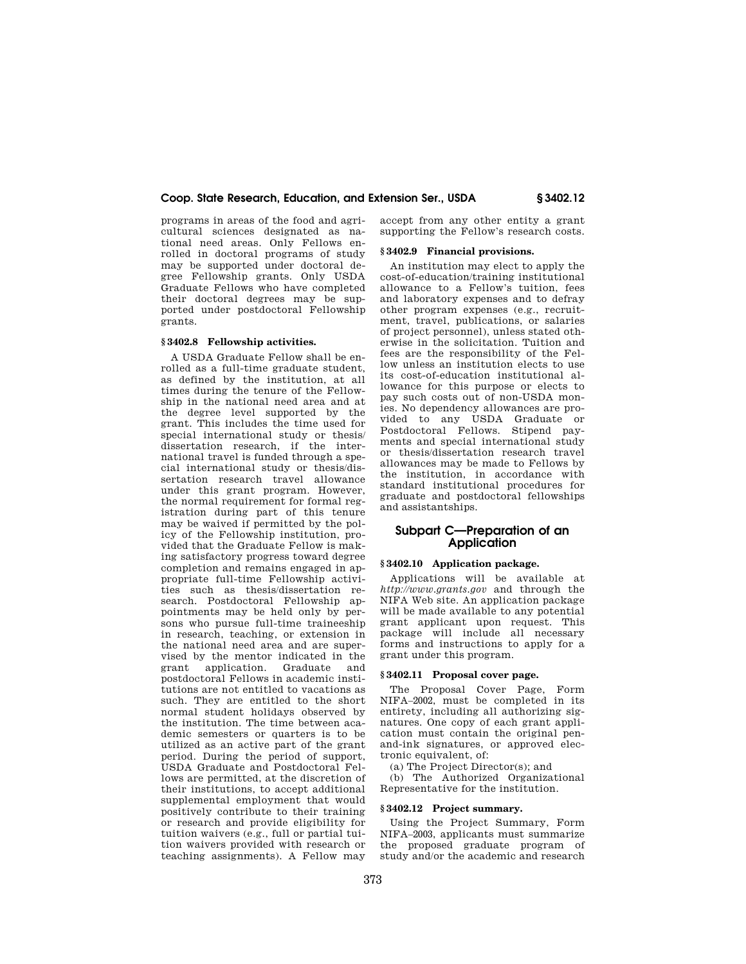programs in areas of the food and agricultural sciences designated as national need areas. Only Fellows enrolled in doctoral programs of study may be supported under doctoral degree Fellowship grants. Only USDA Graduate Fellows who have completed their doctoral degrees may be supported under postdoctoral Fellowship grants.

## **§ 3402.8 Fellowship activities.**

A USDA Graduate Fellow shall be enrolled as a full-time graduate student, as defined by the institution, at all times during the tenure of the Fellowship in the national need area and at the degree level supported by the grant. This includes the time used for special international study or thesis/ dissertation research, if the international travel is funded through a special international study or thesis/dissertation research travel allowance under this grant program. However, the normal requirement for formal registration during part of this tenure may be waived if permitted by the policy of the Fellowship institution, provided that the Graduate Fellow is making satisfactory progress toward degree completion and remains engaged in appropriate full-time Fellowship activities such as thesis/dissertation research. Postdoctoral Fellowship appointments may be held only by persons who pursue full-time traineeship in research, teaching, or extension in the national need area and are supervised by the mentor indicated in the grant application. Graduate and postdoctoral Fellows in academic institutions are not entitled to vacations as such. They are entitled to the short normal student holidays observed by the institution. The time between academic semesters or quarters is to be utilized as an active part of the grant period. During the period of support, USDA Graduate and Postdoctoral Fellows are permitted, at the discretion of their institutions, to accept additional supplemental employment that would positively contribute to their training or research and provide eligibility for tuition waivers (e.g., full or partial tuition waivers provided with research or teaching assignments). A Fellow may

accept from any other entity a grant supporting the Fellow's research costs.

#### **§ 3402.9 Financial provisions.**

An institution may elect to apply the cost-of-education/training institutional allowance to a Fellow's tuition, fees and laboratory expenses and to defray other program expenses (e.g., recruitment, travel, publications, or salaries of project personnel), unless stated otherwise in the solicitation. Tuition and fees are the responsibility of the Fellow unless an institution elects to use its cost-of-education institutional allowance for this purpose or elects to pay such costs out of non-USDA monies. No dependency allowances are provided to any USDA Graduate or Postdoctoral Fellows. Stipend payments and special international study or thesis/dissertation research travel allowances may be made to Fellows by the institution, in accordance with standard institutional procedures for graduate and postdoctoral fellowships and assistantships.

# **Subpart C—Preparation of an Application**

## **§ 3402.10 Application package.**

Applications will be available at *http://www.grants.gov* and through the NIFA Web site. An application package will be made available to any potential grant applicant upon request. This package will include all necessary forms and instructions to apply for a grant under this program.

# **§ 3402.11 Proposal cover page.**

The Proposal Cover Page, Form NIFA–2002, must be completed in its entirety, including all authorizing signatures. One copy of each grant application must contain the original penand-ink signatures, or approved electronic equivalent, of:

(a) The Project Director(s); and

(b) The Authorized Organizational Representative for the institution.

# **§ 3402.12 Project summary.**

Using the Project Summary, Form NIFA–2003, applicants must summarize the proposed graduate program of study and/or the academic and research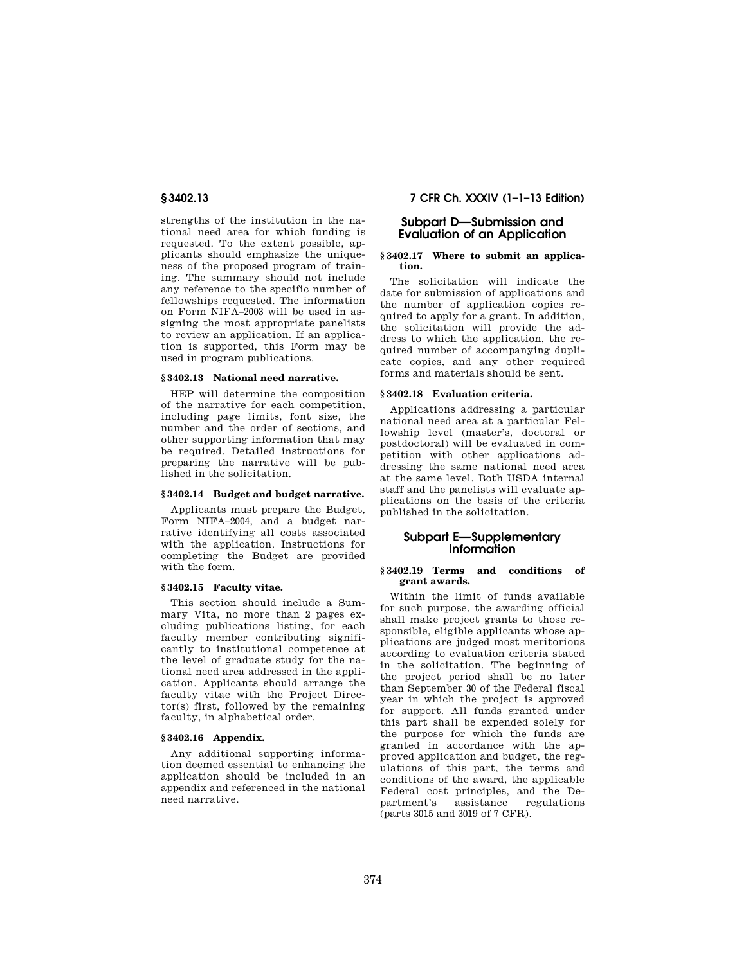strengths of the institution in the national need area for which funding is requested. To the extent possible, applicants should emphasize the uniqueness of the proposed program of training. The summary should not include any reference to the specific number of fellowships requested. The information on Form NIFA–2003 will be used in assigning the most appropriate panelists to review an application. If an application is supported, this Form may be used in program publications.

#### **§ 3402.13 National need narrative.**

HEP will determine the composition of the narrative for each competition, including page limits, font size, the number and the order of sections, and other supporting information that may be required. Detailed instructions for preparing the narrative will be published in the solicitation.

## **§ 3402.14 Budget and budget narrative.**

Applicants must prepare the Budget, Form NIFA–2004, and a budget narrative identifying all costs associated with the application. Instructions for completing the Budget are provided with the form.

### **§ 3402.15 Faculty vitae.**

This section should include a Summary Vita, no more than 2 pages excluding publications listing, for each faculty member contributing significantly to institutional competence at the level of graduate study for the national need area addressed in the application. Applicants should arrange the faculty vitae with the Project Director(s) first, followed by the remaining faculty, in alphabetical order.

#### **§ 3402.16 Appendix.**

Any additional supporting information deemed essential to enhancing the application should be included in an appendix and referenced in the national need narrative.

**§ 3402.13 7 CFR Ch. XXXIV (1–1–13 Edition)** 

# **Subpart D—Submission and Evaluation of an Application**

### **§ 3402.17 Where to submit an application.**

The solicitation will indicate the date for submission of applications and the number of application copies required to apply for a grant. In addition, the solicitation will provide the address to which the application, the required number of accompanying duplicate copies, and any other required forms and materials should be sent.

## **§ 3402.18 Evaluation criteria.**

Applications addressing a particular national need area at a particular Fellowship level (master's, doctoral or postdoctoral) will be evaluated in competition with other applications addressing the same national need area at the same level. Both USDA internal staff and the panelists will evaluate applications on the basis of the criteria published in the solicitation.

# **Subpart E—Supplementary Information**

# **§ 3402.19 Terms and conditions of grant awards.**

Within the limit of funds available for such purpose, the awarding official shall make project grants to those responsible, eligible applicants whose applications are judged most meritorious according to evaluation criteria stated in the solicitation. The beginning of the project period shall be no later than September 30 of the Federal fiscal year in which the project is approved for support. All funds granted under this part shall be expended solely for the purpose for which the funds are granted in accordance with the approved application and budget, the regulations of this part, the terms and conditions of the award, the applicable Federal cost principles, and the Department's assistance regulations (parts 3015 and 3019 of 7 CFR).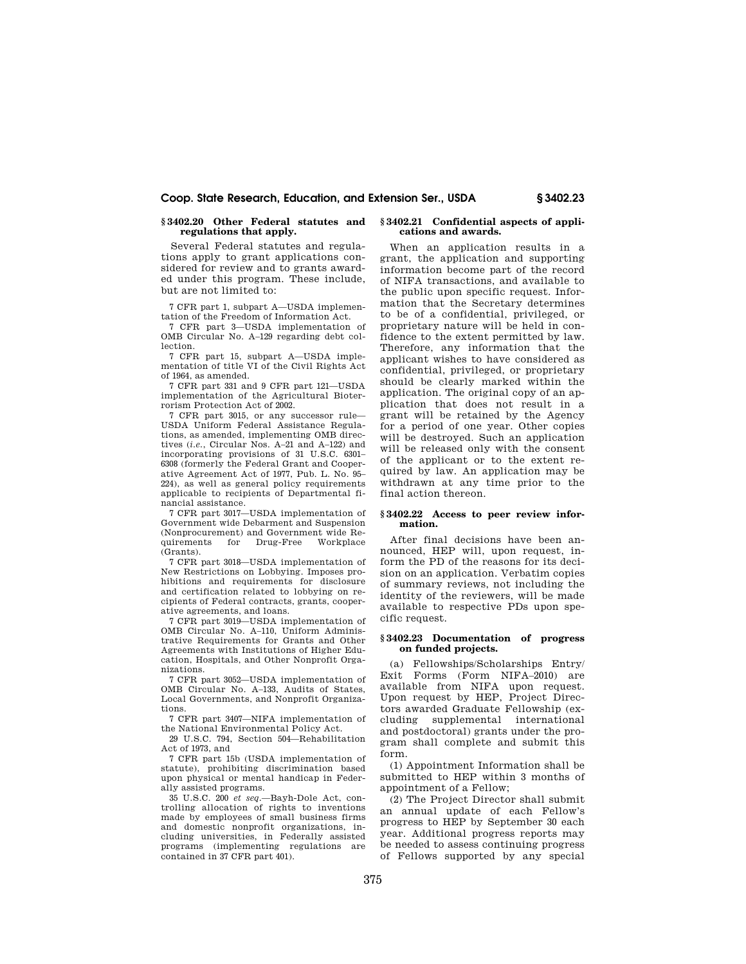## **§ 3402.20 Other Federal statutes and regulations that apply.**

Several Federal statutes and regulations apply to grant applications considered for review and to grants awarded under this program. These include, but are not limited to:

7 CFR part 1, subpart A—USDA implementation of the Freedom of Information Act.

7 CFR part 3—USDA implementation of OMB Circular No. A–129 regarding debt collection.

7 CFR part 15, subpart A—USDA implementation of title VI of the Civil Rights Act of 1964, as amended.

7 CFR part 331 and 9 CFR part 121—USDA implementation of the Agricultural Bioterrorism Protection Act of 2002.

7 CFR part 3015, or any successor rule— USDA Uniform Federal Assistance Regulations, as amended, implementing OMB directives (*i.e.*, Circular Nos. A–21 and A–122) and incorporating provisions of 31 U.S.C. 6301– 6308 (formerly the Federal Grant and Cooperative Agreement Act of 1977, Pub. L. No. 95– 224), as well as general policy requirements applicable to recipients of Departmental financial assistance.

7 CFR part 3017—USDA implementation of Government wide Debarment and Suspension (Nonprocurement) and Government wide Requirements for Drug-Free (Grants).

7 CFR part 3018—USDA implementation of New Restrictions on Lobbying. Imposes prohibitions and requirements for disclosure and certification related to lobbying on recipients of Federal contracts, grants, cooperative agreements, and loans.

7 CFR part 3019—USDA implementation of OMB Circular No. A–110, Uniform Administrative Requirements for Grants and Other Agreements with Institutions of Higher Education, Hospitals, and Other Nonprofit Organizations.

7 CFR part 3052—USDA implementation of OMB Circular No. A–133, Audits of States, Local Governments, and Nonprofit Organizations.

7 CFR part 3407—NIFA implementation of the National Environmental Policy Act.

29 U.S.C. 794, Section 504—Rehabilitation Act of 1973, and

7 CFR part 15b (USDA implementation of statute), prohibiting discrimination based upon physical or mental handicap in Federally assisted programs.

35 U.S.C. 200 *et seq.*—Bayh-Dole Act, controlling allocation of rights to inventions made by employees of small business firms and domestic nonprofit organizations, including universities, in Federally assisted programs (implementing regulations are contained in 37 CFR part 401).

#### **§ 3402.21 Confidential aspects of applications and awards.**

When an application results in a grant, the application and supporting information become part of the record of NIFA transactions, and available to the public upon specific request. Information that the Secretary determines to be of a confidential, privileged, or proprietary nature will be held in confidence to the extent permitted by law. Therefore, any information that the applicant wishes to have considered as confidential, privileged, or proprietary should be clearly marked within the application. The original copy of an application that does not result in a grant will be retained by the Agency for a period of one year. Other copies will be destroyed. Such an application will be released only with the consent of the applicant or to the extent required by law. An application may be withdrawn at any time prior to the final action thereon.

## **§ 3402.22 Access to peer review information.**

After final decisions have been announced, HEP will, upon request, inform the PD of the reasons for its decision on an application. Verbatim copies of summary reviews, not including the identity of the reviewers, will be made available to respective PDs upon specific request.

### **§ 3402.23 Documentation of progress on funded projects.**

(a) Fellowships/Scholarships Entry/ Exit Forms (Form NIFA–2010) are available from NIFA upon request. Upon request by HEP, Project Directors awarded Graduate Fellowship (excluding supplemental international and postdoctoral) grants under the program shall complete and submit this form.

(1) Appointment Information shall be submitted to HEP within 3 months of appointment of a Fellow;

(2) The Project Director shall submit an annual update of each Fellow's progress to HEP by September 30 each year. Additional progress reports may be needed to assess continuing progress of Fellows supported by any special